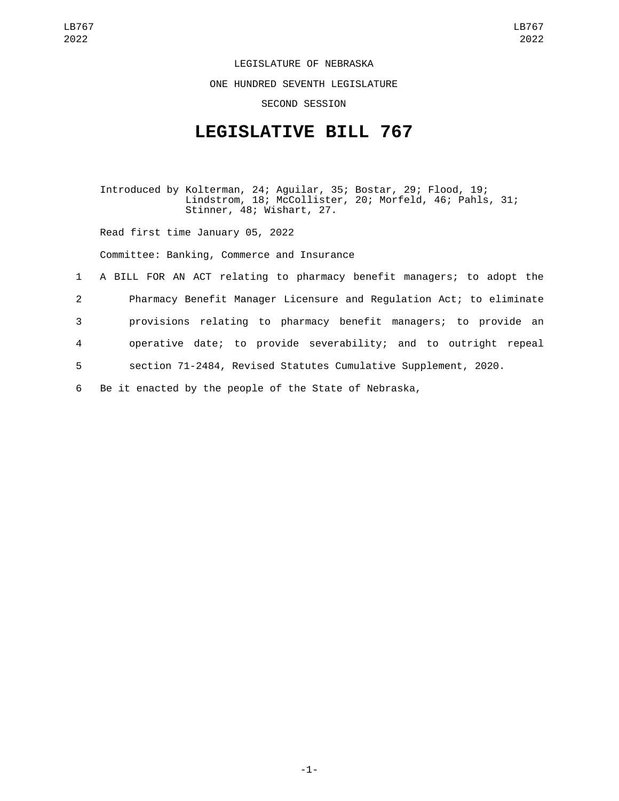LEGISLATURE OF NEBRASKA

ONE HUNDRED SEVENTH LEGISLATURE

SECOND SESSION

## **LEGISLATIVE BILL 767**

Introduced by Kolterman, 24; Aguilar, 35; Bostar, 29; Flood, 19; Lindstrom, 18; McCollister, 20; Morfeld, 46; Pahls, 31; Stinner, 48; Wishart, 27.

Read first time January 05, 2022

Committee: Banking, Commerce and Insurance

 A BILL FOR AN ACT relating to pharmacy benefit managers; to adopt the Pharmacy Benefit Manager Licensure and Regulation Act; to eliminate provisions relating to pharmacy benefit managers; to provide an operative date; to provide severability; and to outright repeal section 71-2484, Revised Statutes Cumulative Supplement, 2020. Be it enacted by the people of the State of Nebraska,

-1-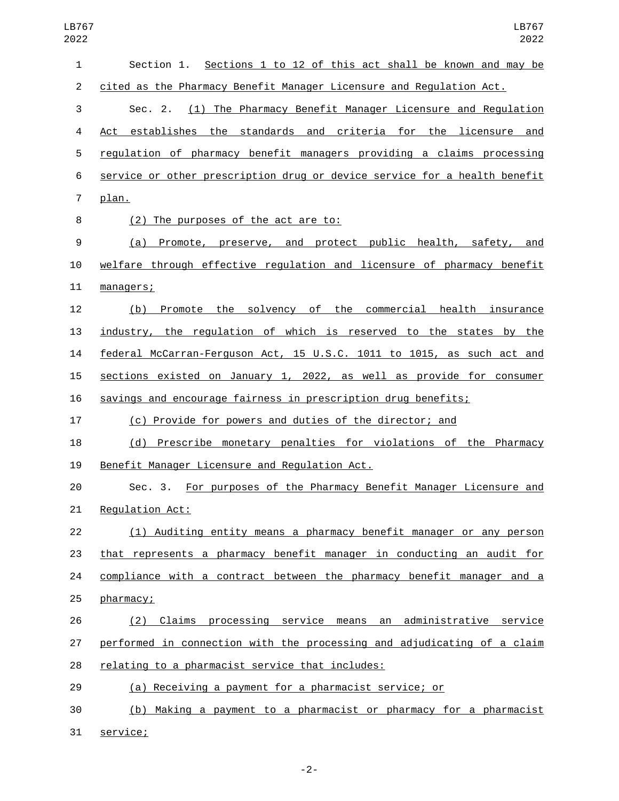| $\mathbf{1}$   | Section 1. Sections 1 to 12 of this act shall be known and may be         |
|----------------|---------------------------------------------------------------------------|
| $\overline{2}$ | cited as the Pharmacy Benefit Manager Licensure and Regulation Act.       |
| 3              | Sec. 2. (1) The Pharmacy Benefit Manager Licensure and Regulation         |
| 4              | establishes the standards and criteria for the licensure and<br>Act       |
| 5              | requlation of pharmacy benefit managers providing a claims processing     |
| 6              | service or other prescription drug or device service for a health benefit |
| $\overline{7}$ | plan.                                                                     |
| 8              | (2) The purposes of the act are to:                                       |
| 9              | (a) Promote, preserve, and protect public health, safety, and             |
| 10             | welfare through effective regulation and licensure of pharmacy benefit    |
| 11             | managers;                                                                 |
| 12             | Promote the solvency of the commercial health insurance<br>(b)            |
| 13             | industry, the regulation of which is reserved to the states by the        |
| 14             | federal McCarran-Ferguson Act, 15 U.S.C. 1011 to 1015, as such act and    |
| 15             | sections existed on January 1, 2022, as well as provide for consumer      |
| 16             | savings and encourage fairness in prescription drug benefits;             |
| 17             | (c) Provide for powers and duties of the director; and                    |
| 18             | (d) Prescribe monetary penalties for violations of the Pharmacy           |
| 19             | Benefit Manager Licensure and Regulation Act.                             |
| 20             | Sec. 3. For purposes of the Pharmacy Benefit Manager Licensure and        |
| 21             | Regulation Act:                                                           |
| 22             | (1) Auditing entity means a pharmacy benefit manager or any person        |
| 23             | that represents a pharmacy benefit manager in conducting an audit for     |
| 24             | compliance with a contract between the pharmacy benefit manager and a     |
| 25             | pharmacy;                                                                 |
| 26             | (2) Claims processing service means an administrative service             |
| 27             | performed in connection with the processing and adjudicating of a claim   |
| 28             | relating to a pharmacist service that includes:                           |
| 29             | (a) Receiving a payment for a pharmacist service; or                      |
| 30             | (b) Making a payment to a pharmacist or pharmacy for a pharmacist         |
| 31             | service;                                                                  |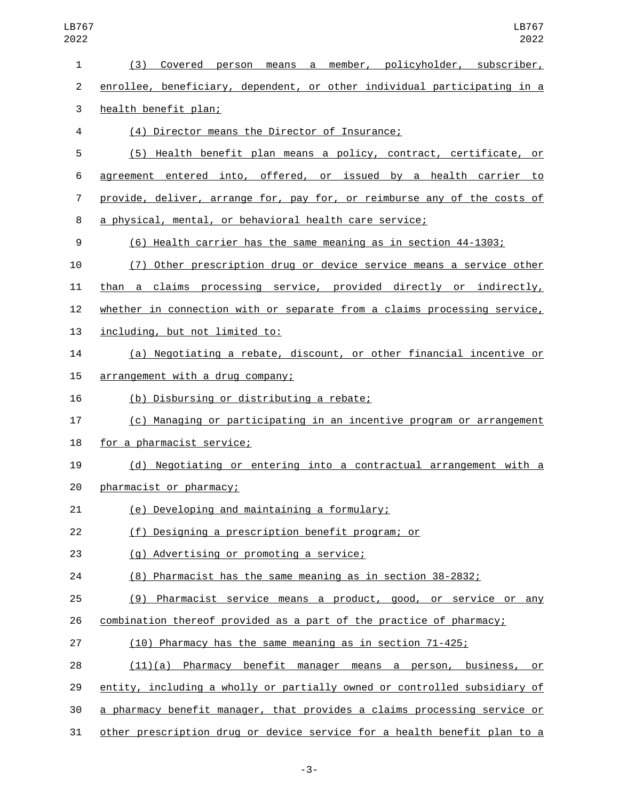| 1              | Covered person means a member, policyholder, subscriber,<br>(3)           |
|----------------|---------------------------------------------------------------------------|
| 2              | enrollee, beneficiary, dependent, or other individual participating in a  |
| 3              | health benefit plan;                                                      |
| 4              | (4) Director means the Director of Insurance;                             |
| 5              | (5) Health benefit plan means a policy, contract, certificate, or         |
| 6              | agreement entered into, offered, or issued by a health carrier to         |
| $\overline{7}$ | provide, deliver, arrange for, pay for, or reimburse any of the costs of  |
| 8              | a physical, mental, or behavioral health care service;                    |
| 9              | (6) Health carrier has the same meaning as in section 44-1303;            |
| 10             | (7) Other prescription drug or device service means a service other       |
| 11             | than a claims processing service, provided directly or indirectly,        |
| 12             | whether in connection with or separate from a claims processing service,  |
| 13             | including, but not limited to:                                            |
| 14             | (a) Negotiating a rebate, discount, or other financial incentive or       |
| 15             | arrangement with a drug company;                                          |
| 16             | (b) Disbursing or distributing a rebate;                                  |
| 17             | (c) Managing or participating in an incentive program or arrangement      |
| 18             | for a pharmacist service;                                                 |
| 19             | (d) Negotiating or entering into a contractual arrangement with a         |
| 20             | pharmacist or pharmacy;                                                   |
| 21             | (e) Developing and maintaining a formulary;                               |
| 22             | (f) Designing a prescription benefit program; or                          |
| 23             | (g) Advertising or promoting a service;                                   |
| 24             | (8) Pharmacist has the same meaning as in section 38-2832;                |
| 25             | (9) Pharmacist service means a product, good, or service or any           |
| 26             | combination thereof provided as a part of the practice of pharmacy;       |
| 27             | (10) Pharmacy has the same meaning as in section 71-425;                  |
| 28             | $(11)(a)$ Pharmacy benefit manager means a person, business,<br>or        |
| 29             | entity, including a wholly or partially owned or controlled subsidiary of |
| 30             | a pharmacy benefit manager, that provides a claims processing service or  |
| 31             | other prescription drug or device service for a health benefit plan to a  |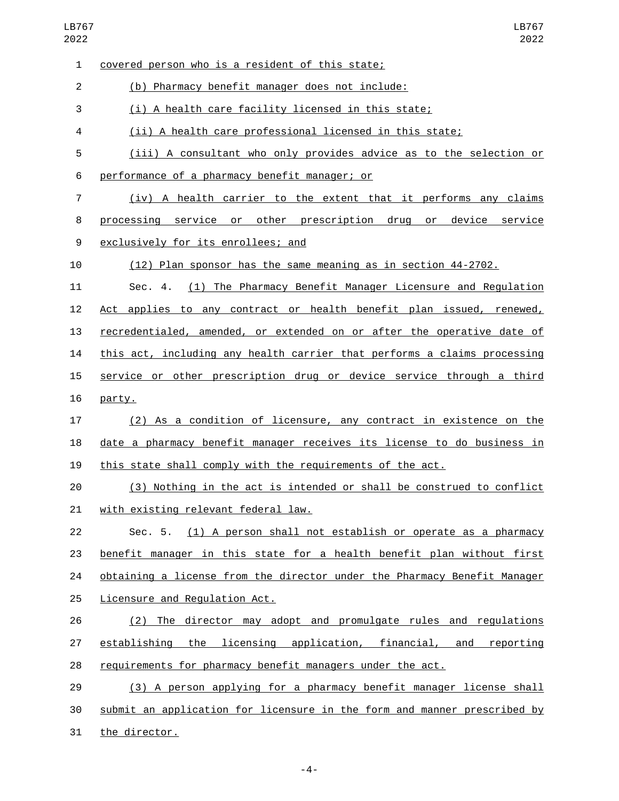| 1              | covered person who is a resident of this state;                          |
|----------------|--------------------------------------------------------------------------|
| $\overline{2}$ | (b) Pharmacy benefit manager does not include:                           |
| 3              | (i) A health care facility licensed in this state;                       |
| 4              | (ii) A health care professional licensed in this state;                  |
| 5              | (iii) A consultant who only provides advice as to the selection or       |
| 6              | performance of a pharmacy benefit manager; or                            |
| $\overline{7}$ | (iv) A health carrier to the extent that it performs any claims          |
| 8              | processing service or other prescription drug or<br>device service       |
| 9              | exclusively for its enrollees; and                                       |
| 10             | (12) Plan sponsor has the same meaning as in section 44-2702.            |
| 11             | (1) The Pharmacy Benefit Manager Licensure and Regulation<br>Sec. 4.     |
| 12             | Act applies to any contract or health benefit plan issued, renewed,      |
| 13             | recredentialed, amended, or extended on or after the operative date of   |
| 14             | this act, including any health carrier that performs a claims processing |
| 15             | service or other prescription drug or device service through a third     |
| 16             | party.                                                                   |
| 17             | (2) As a condition of licensure, any contract in existence on the        |
| 18             | date a pharmacy benefit manager receives its license to do business in   |
| 19             | this state shall comply with the requirements of the act.                |
| 20             | (3) Nothing in the act is intended or shall be construed to conflict     |
| 21             | with existing relevant federal law.                                      |
| 22             | Sec. 5. (1) A person shall not establish or operate as a pharmacy        |
| 23             | benefit manager in this state for a health benefit plan without first    |
| 24             | obtaining a license from the director under the Pharmacy Benefit Manager |
| 25             | Licensure and Regulation Act.                                            |
| 26             | (2) The director may adopt and promulgate rules and regulations          |
| 27             | establishing the licensing application, financial, and reporting         |
| 28             | requirements for pharmacy benefit managers under the act.                |
| 29             | (3) A person applying for a pharmacy benefit manager license shall       |
| 30             | submit an application for licensure in the form and manner prescribed by |
| 31             | the director.                                                            |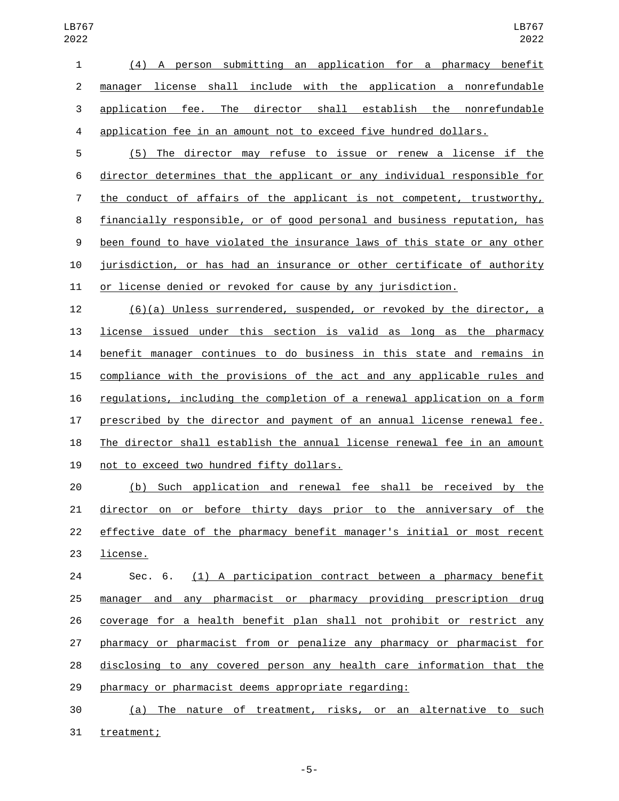(4) A person submitting an application for a pharmacy benefit manager license shall include with the application a nonrefundable application fee. The director shall establish the nonrefundable application fee in an amount not to exceed five hundred dollars.

 (5) The director may refuse to issue or renew a license if the director determines that the applicant or any individual responsible for the conduct of affairs of the applicant is not competent, trustworthy, financially responsible, or of good personal and business reputation, has been found to have violated the insurance laws of this state or any other jurisdiction, or has had an insurance or other certificate of authority or license denied or revoked for cause by any jurisdiction.

 (6)(a) Unless surrendered, suspended, or revoked by the director, a license issued under this section is valid as long as the pharmacy benefit manager continues to do business in this state and remains in compliance with the provisions of the act and any applicable rules and regulations, including the completion of a renewal application on a form prescribed by the director and payment of an annual license renewal fee. The director shall establish the annual license renewal fee in an amount 19 not to exceed two hundred fifty dollars.

 (b) Such application and renewal fee shall be received by the director on or before thirty days prior to the anniversary of the effective date of the pharmacy benefit manager's initial or most recent 23 license.

 Sec. 6. (1) A participation contract between a pharmacy benefit manager and any pharmacist or pharmacy providing prescription drug coverage for a health benefit plan shall not prohibit or restrict any pharmacy or pharmacist from or penalize any pharmacy or pharmacist for disclosing to any covered person any health care information that the pharmacy or pharmacist deems appropriate regarding:

 (a) The nature of treatment, risks, or an alternative to such 31 treatment;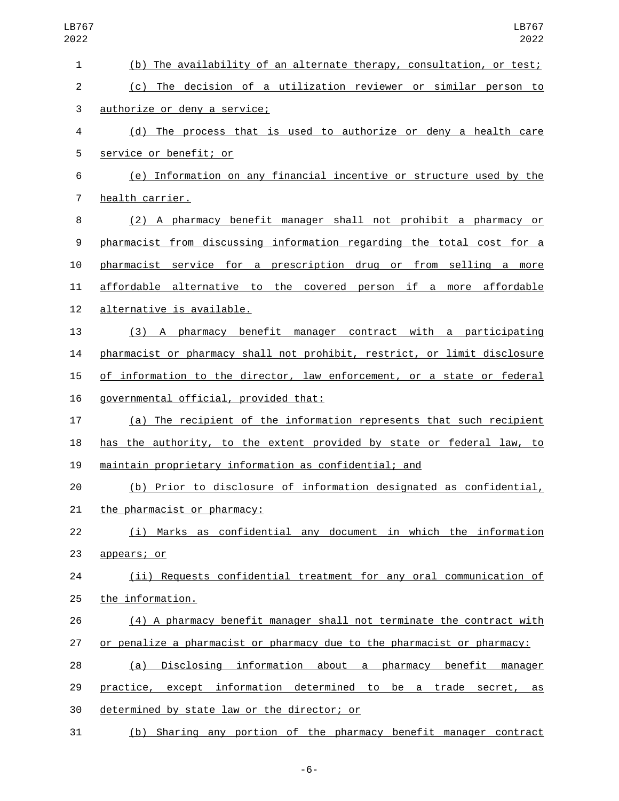| LB767<br>2022             | LB767<br>2022                                                            |
|---------------------------|--------------------------------------------------------------------------|
| 1                         | (b) The availability of an alternate therapy, consultation, or test;     |
| $\overline{c}$            | (c) The decision of a utilization reviewer or similar person to          |
| $\ensuremath{\mathsf{3}}$ | authorize or deny a service;                                             |
| 4                         | (d) The process that is used to authorize or deny a health care          |
| 5                         | service or benefit; or                                                   |
| 6                         | (e) Information on any financial incentive or structure used by the      |
| $\overline{7}$            | health carrier.                                                          |
| 8                         | (2) A pharmacy benefit manager shall not prohibit a pharmacy or          |
| 9                         | pharmacist from discussing information regarding the total cost for a    |
| 10                        | pharmacist service for a prescription drug or from selling a more        |
| 11                        | affordable alternative to the covered person if a more affordable        |
| 12                        | alternative is available.                                                |
| 13                        | (3) A pharmacy benefit manager contract with a participating             |
| 14                        | pharmacist or pharmacy shall not prohibit, restrict, or limit disclosure |
| 15                        | of information to the director, law enforcement, or a state or federal   |
| 16                        | governmental official, provided that:                                    |
| 17                        | (a) The recipient of the information represents that such recipient      |
| 18                        | has the authority, to the extent provided by state or federal law, to    |
| 19                        | maintain proprietary information as confidential; and                    |
| 20                        | (b) Prior to disclosure of information designated as confidential,       |
| 21                        | the pharmacist or pharmacy:                                              |
| 22                        | (i) Marks as confidential any document in which the information          |
| 23                        | appears; or                                                              |
| 24                        | (ii) Requests confidential treatment for any oral communication of       |
| 25                        | the information.                                                         |
| 26                        | (4) A pharmacy benefit manager shall not terminate the contract with     |
| 27                        | or penalize a pharmacist or pharmacy due to the pharmacist or pharmacy:  |
| 28                        | Disclosing information about a pharmacy benefit manager<br>(a)           |
| 29                        | practice, except information determined to be a trade secret, as         |
| 30                        | determined by state law or the director; or                              |
| 31                        | (b) Sharing any portion of the pharmacy benefit manager contract         |

-6-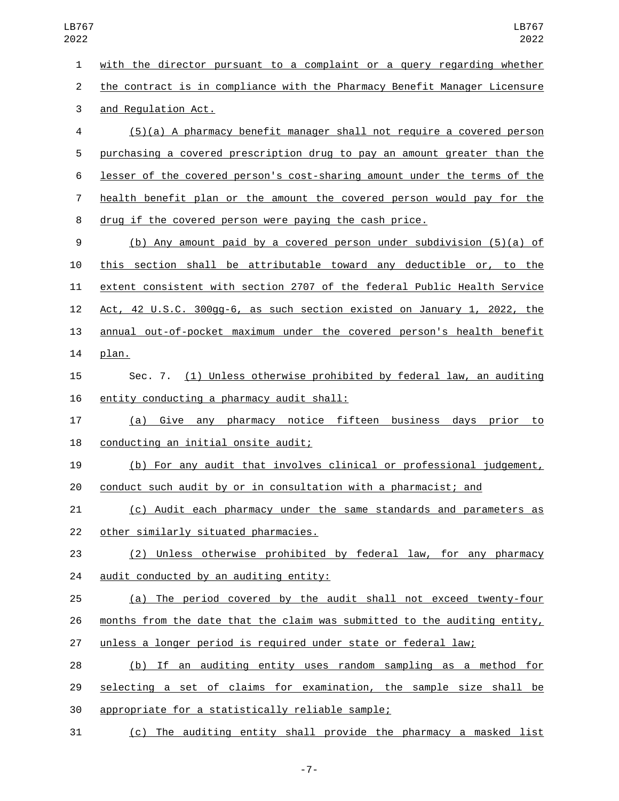with the director pursuant to a complaint or a query regarding whether the contract is in compliance with the Pharmacy Benefit Manager Licensure 3 and Regulation Act. (5)(a) A pharmacy benefit manager shall not require a covered person purchasing a covered prescription drug to pay an amount greater than the lesser of the covered person's cost-sharing amount under the terms of the health benefit plan or the amount the covered person would pay for the drug if the covered person were paying the cash price. (b) Any amount paid by a covered person under subdivision (5)(a) of this section shall be attributable toward any deductible or, to the extent consistent with section 2707 of the federal Public Health Service Act, 42 U.S.C. 300gg-6, as such section existed on January 1, 2022, the annual out-of-pocket maximum under the covered person's health benefit 14 plan. Sec. 7. (1) Unless otherwise prohibited by federal law, an auditing 16 entity conducting a pharmacy audit shall: (a) Give any pharmacy notice fifteen business days prior to 18 conducting an initial onsite audit; (b) For any audit that involves clinical or professional judgement, conduct such audit by or in consultation with a pharmacist; and (c) Audit each pharmacy under the same standards and parameters as 22 other similarly situated pharmacies. (2) Unless otherwise prohibited by federal law, for any pharmacy 24 audit conducted by an auditing entity: 25 (a) The period covered by the audit shall not exceed twenty-four months from the date that the claim was submitted to the auditing entity, unless a longer period is required under state or federal law; (b) If an auditing entity uses random sampling as a method for selecting a set of claims for examination, the sample size shall be 30 appropriate for a statistically reliable sample; LB767

(c) The auditing entity shall provide the pharmacy a masked list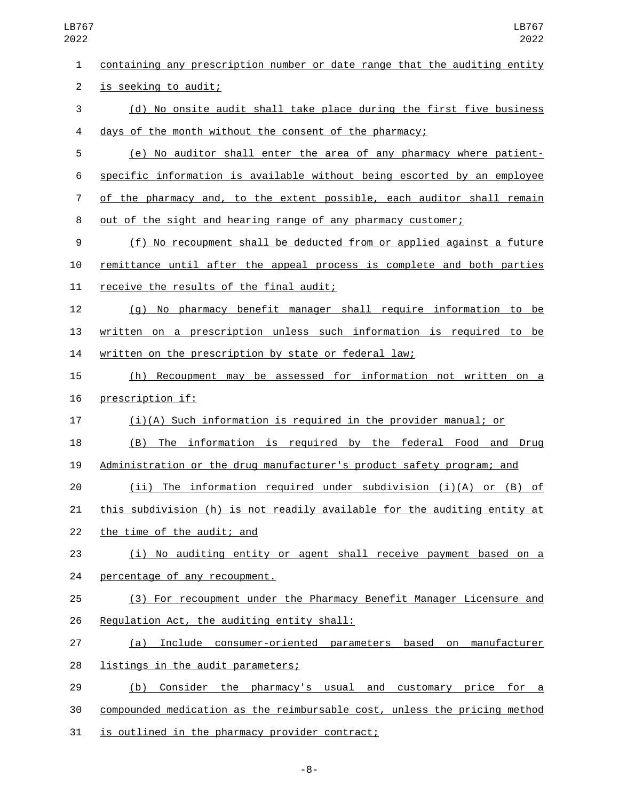containing any prescription number or date range that the auditing entity 2 is seeking to audit; (d) No onsite audit shall take place during the first five business days of the month without the consent of the pharmacy; (e) No auditor shall enter the area of any pharmacy where patient- specific information is available without being escorted by an employee of the pharmacy and, to the extent possible, each auditor shall remain out of the sight and hearing range of any pharmacy customer; (f) No recoupment shall be deducted from or applied against a future remittance until after the appeal process is complete and both parties 11 receive the results of the final audit; (g) No pharmacy benefit manager shall require information to be written on a prescription unless such information is required to be written on the prescription by state or federal law; (h) Recoupment may be assessed for information not written on a 16 prescription if: (i)(A) Such information is required in the provider manual; or (B) The information is required by the federal Food and Drug Administration or the drug manufacturer's product safety program; and (ii) The information required under subdivision (i)(A) or (B) of this subdivision (h) is not readily available for the auditing entity at 22 the time of the audit; and (i) No auditing entity or agent shall receive payment based on a 24 percentage of any recoupment. (3) For recoupment under the Pharmacy Benefit Manager Licensure and 26 Regulation Act, the auditing entity shall: (a) Include consumer-oriented parameters based on manufacturer 28 listings in the audit parameters; (b) Consider the pharmacy's usual and customary price for a compounded medication as the reimbursable cost, unless the pricing method 31 is outlined in the pharmacy provider contract;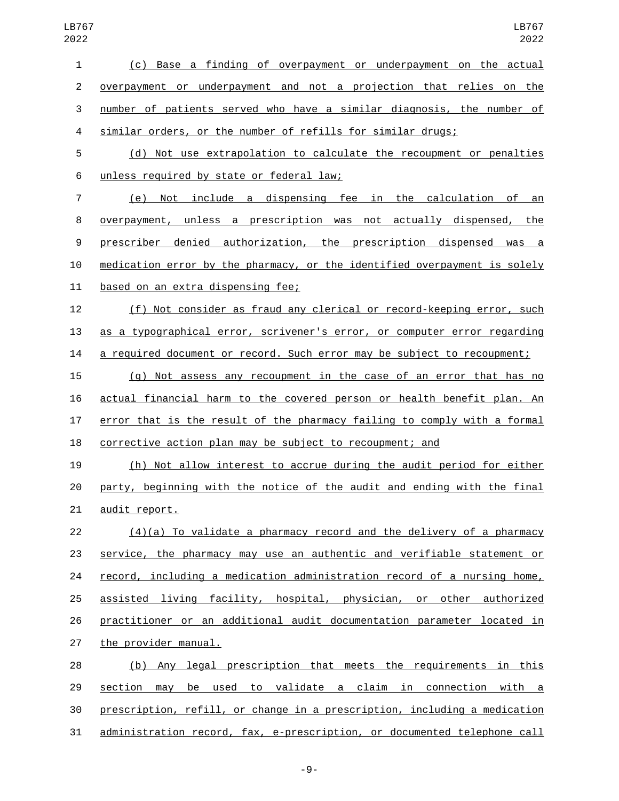| $\mathbf{1}$   | (c) Base a finding of overpayment or underpayment on the actual           |
|----------------|---------------------------------------------------------------------------|
| $\overline{2}$ | overpayment or underpayment and not a projection that relies on the       |
| 3              | number of patients served who have a similar diagnosis, the number of     |
| 4              | similar orders, or the number of refills for similar drugs;               |
| 5              | (d) Not use extrapolation to calculate the recoupment or penalties        |
| 6              | unless required by state or federal law;                                  |
| $\overline{7}$ | (e) Not include a dispensing fee in the calculation of an                 |
| 8              | overpayment, unless a prescription was not actually dispensed, the        |
| 9              | prescriber denied authorization, the prescription dispensed was a         |
| 10             | medication error by the pharmacy, or the identified overpayment is solely |
| 11             | based on an extra dispensing fee;                                         |
| 12             | (f) Not consider as fraud any clerical or record-keeping error, such      |
| 13             | as a typographical error, scrivener's error, or computer error regarding  |
| 14             | a required document or record. Such error may be subject to recoupment;   |
| 15             | (g) Not assess any recoupment in the case of an error that has no         |
| 16             | actual financial harm to the covered person or health benefit plan. An    |
| 17             | error that is the result of the pharmacy failing to comply with a formal  |
| 18             | corrective action plan may be subject to recoupment; and                  |
| 19             | (h) Not allow interest to accrue during the audit period for either       |
| 20             | party, beginning with the notice of the audit and ending with the final   |
| 21             | audit report.                                                             |
| 22             | $(4)(a)$ To validate a pharmacy record and the delivery of a pharmacy     |
| 23             | service, the pharmacy may use an authentic and verifiable statement or    |
| 24             | record, including a medication administration record of a nursing home,   |
| 25             | assisted living facility, hospital, physician, or other authorized        |
| 26             | practitioner or an additional audit documentation parameter located in    |
| 27             | the provider manual.                                                      |
| 28             | (b) Any legal prescription that meets the requirements in this            |
| 29             | section may be used to validate a claim in connection with a              |
| 30             | prescription, refill, or change in a prescription, including a medication |
| 31             | administration record, fax, e-prescription, or documented telephone call  |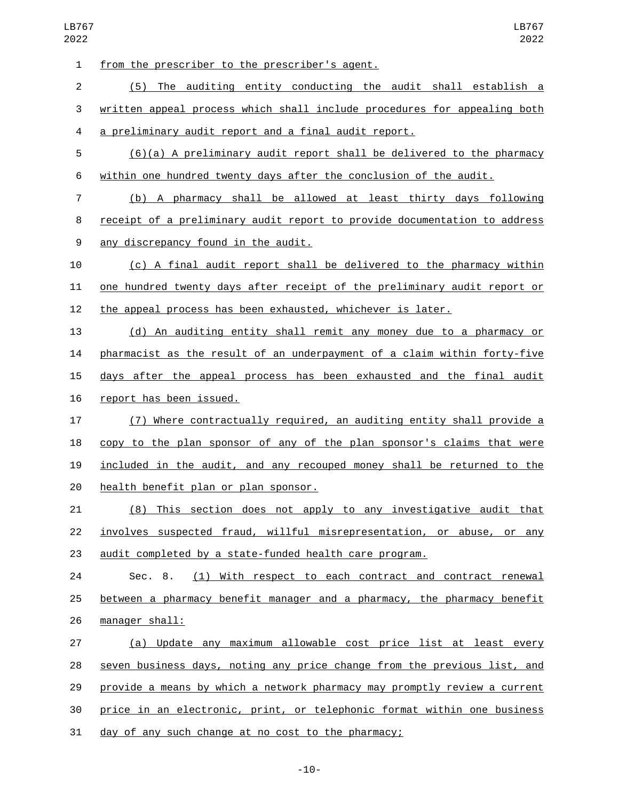1 from the prescriber to the prescriber's agent. (5) The auditing entity conducting the audit shall establish a written appeal process which shall include procedures for appealing both a preliminary audit report and a final audit report. (6)(a) A preliminary audit report shall be delivered to the pharmacy within one hundred twenty days after the conclusion of the audit. (b) A pharmacy shall be allowed at least thirty days following receipt of a preliminary audit report to provide documentation to address 9 any discrepancy found in the audit. (c) A final audit report shall be delivered to the pharmacy within one hundred twenty days after receipt of the preliminary audit report or the appeal process has been exhausted, whichever is later. (d) An auditing entity shall remit any money due to a pharmacy or pharmacist as the result of an underpayment of a claim within forty-five days after the appeal process has been exhausted and the final audit 16 report has been issued. (7) Where contractually required, an auditing entity shall provide a copy to the plan sponsor of any of the plan sponsor's claims that were included in the audit, and any recouped money shall be returned to the 20 health benefit plan or plan sponsor. (8) This section does not apply to any investigative audit that involves suspected fraud, willful misrepresentation, or abuse, or any audit completed by a state-funded health care program. Sec. 8. (1) With respect to each contract and contract renewal 25 between a pharmacy benefit manager and a pharmacy, the pharmacy benefit manager shall:26 (a) Update any maximum allowable cost price list at least every seven business days, noting any price change from the previous list, and provide a means by which a network pharmacy may promptly review a current price in an electronic, print, or telephonic format within one business day of any such change at no cost to the pharmacy;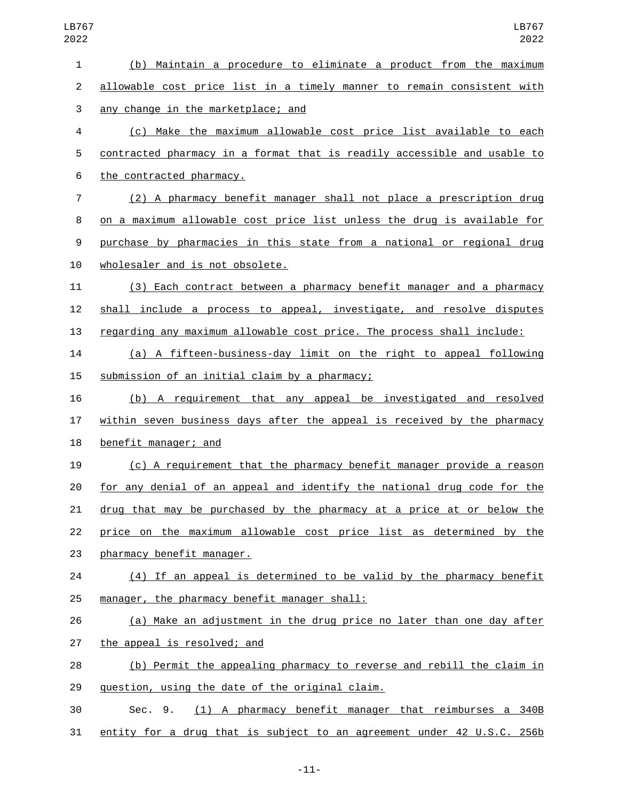| $\mathbf{1}$   | (b) Maintain a procedure to eliminate a product from the maximum         |
|----------------|--------------------------------------------------------------------------|
| $\overline{2}$ | allowable cost price list in a timely manner to remain consistent with   |
| 3              | any change in the marketplace; and                                       |
| 4              | (c) Make the maximum allowable cost price list available to each         |
| 5              | contracted pharmacy in a format that is readily accessible and usable to |
| 6              | the contracted pharmacy.                                                 |
| $\overline{7}$ | (2) A pharmacy benefit manager shall not place a prescription drug       |
| 8              | on a maximum allowable cost price list unless the drug is available for  |
| 9              | purchase by pharmacies in this state from a national or regional drug    |
| 10             | wholesaler and is not obsolete.                                          |
| 11             | (3) Each contract between a pharmacy benefit manager and a pharmacy      |
| 12             | shall include a process to appeal, investigate, and resolve disputes     |
| 13             | regarding any maximum allowable cost price. The process shall include:   |
| 14             | (a) A fifteen-business-day limit on the right to appeal following        |
| 15             | submission of an initial claim by a pharmacy;                            |
| 16             | (b) A requirement that any appeal be investigated and resolved           |
| 17             | within seven business days after the appeal is received by the pharmacy  |
| 18             | benefit manager; and                                                     |
| 19             | (c) A requirement that the pharmacy benefit manager provide a reason     |
| 20             | for any denial of an appeal and identify the national drug code for the  |
| 21             | drug that may be purchased by the pharmacy at a price at or below the    |
| 22             | price on the maximum allowable cost price list as determined by the      |
| 23             | pharmacy benefit manager.                                                |
| 24             | (4) If an appeal is determined to be valid by the pharmacy benefit       |
| 25             | manager, the pharmacy benefit manager shall:                             |
| 26             | (a) Make an adjustment in the drug price no later than one day after     |
| 27             | the appeal is resolved; and                                              |
| 28             | (b) Permit the appealing pharmacy to reverse and rebill the claim in     |
| 29             | question, using the date of the original claim.                          |
| 30             | (1) A pharmacy benefit manager that reimburses a 340B<br>Sec. 9.         |
| 31             | entity for a drug that is subject to an agreement under 42 U.S.C. 256b   |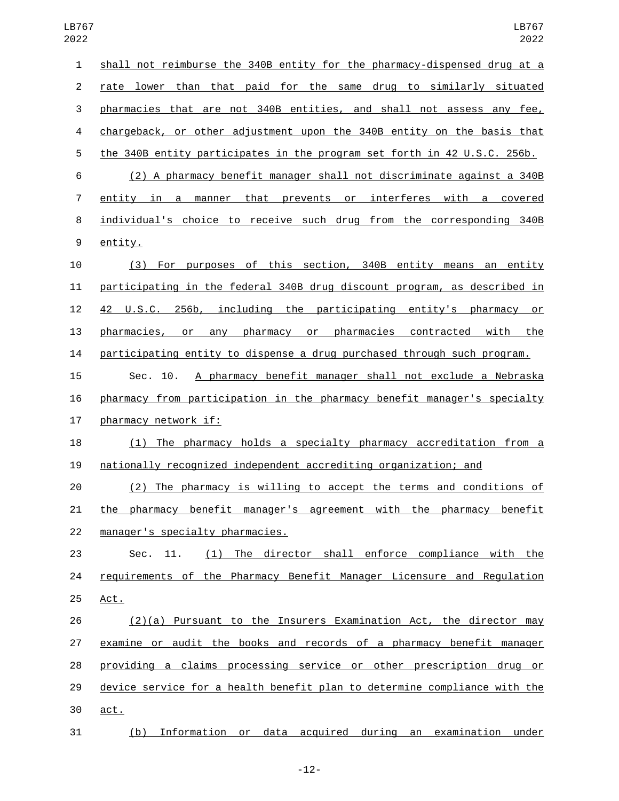| $\mathbf{1}$     | shall not reimburse the 340B entity for the pharmacy-dispensed drug at a  |
|------------------|---------------------------------------------------------------------------|
| $\overline{2}$   | rate lower than that paid for the same drug to similarly situated         |
| 3                | pharmacies that are not 340B entities, and shall not assess any fee,      |
| 4                | chargeback, or other adjustment upon the 340B entity on the basis that    |
| 5                | the 340B entity participates in the program set forth in 42 U.S.C. 256b.  |
| 6                | (2) A pharmacy benefit manager shall not discriminate against a 340B      |
| 7                | entity in a manner that prevents or interferes with a covered             |
| 8                | individual's choice to receive such drug from the corresponding 340B      |
| $\boldsymbol{9}$ | entity.                                                                   |
| 10               | (3) For purposes of this section, 340B entity means an entity             |
| 11               | participating in the federal 340B drug discount program, as described in  |
| 12               | 42 U.S.C. 256b, including the participating entity's pharmacy<br>or       |
| 13               | or any pharmacy or pharmacies contracted with the<br>pharmacies,          |
| 14               | participating entity to dispense a drug purchased through such program.   |
| 15               | A pharmacy benefit manager shall not exclude a Nebraska<br>Sec. 10.       |
| 16               | pharmacy from participation in the pharmacy benefit manager's specialty   |
| 17               | pharmacy network if:                                                      |
| 18               | (1) The pharmacy holds a specialty pharmacy accreditation from a          |
| 19               | nationally recognized independent accrediting organization; and           |
| 20               | The pharmacy is willing to accept the terms and conditions of<br>(2)      |
| 21               | the pharmacy benefit manager's agreement with the pharmacy benefit        |
| 22               | manager's specialty pharmacies.                                           |
| 23               | (1) The director shall enforce compliance with the<br>Sec. 11.            |
| 24               | requirements of the Pharmacy Benefit Manager Licensure and Regulation     |
| 25               | Act.                                                                      |
| 26               | (2)(a) Pursuant to the Insurers Examination Act, the director may         |
| 27               | examine or audit the books and records of a pharmacy benefit manager      |
| 28               | providing a claims processing service or other prescription drug or       |
| 29               | device service for a health benefit plan to determine compliance with the |
| 30               | act.                                                                      |
| 31               | (b) Information or data acquired during an examination under              |